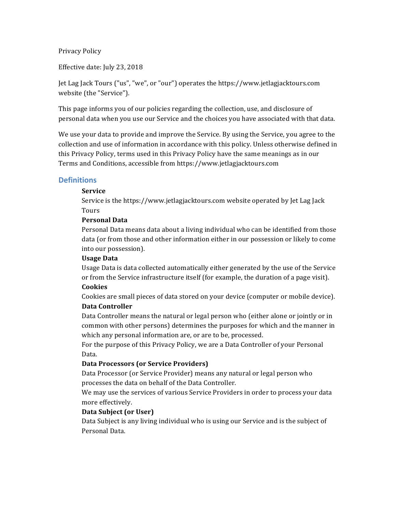Privacy Policy

Effective date: July 23, 2018

Jet Lag Jack Tours ("us", "we", or "our") operates the https://www.jetlagjacktours.com website (the "Service").

This page informs you of our policies regarding the collection, use, and disclosure of personal data when you use our Service and the choices you have associated with that data.

We use your data to provide and improve the Service. By using the Service, you agree to the collection and use of information in accordance with this policy. Unless otherwise defined in this Privacy Policy, terms used in this Privacy Policy have the same meanings as in our Terms and Conditions, accessible from https://www.jetlagjacktours.com

### **Definitions**

#### **Service**

Service is the https://www.jetlagjacktours.com website operated by Jet Lag Jack Tours

#### **Personal Data**

Personal Data means data about a living individual who can be identified from those data (or from those and other information either in our possession or likely to come into our possession).

#### **Usage Data**

Usage Data is data collected automatically either generated by the use of the Service or from the Service infrastructure itself (for example, the duration of a page visit).

#### **Cookies**

Cookies are small pieces of data stored on your device (computer or mobile device). **Data Controller**

Data Controller means the natural or legal person who (either alone or jointly or in common with other persons) determines the purposes for which and the manner in which any personal information are, or are to be, processed.

For the purpose of this Privacy Policy, we are a Data Controller of your Personal Data.

#### **Data Processors (or Service Providers)**

Data Processor (or Service Provider) means any natural or legal person who processes the data on behalf of the Data Controller.

We may use the services of various Service Providers in order to process your data more effectively.

#### **Data Subject (or User)**

Data Subject is any living individual who is using our Service and is the subject of Personal Data.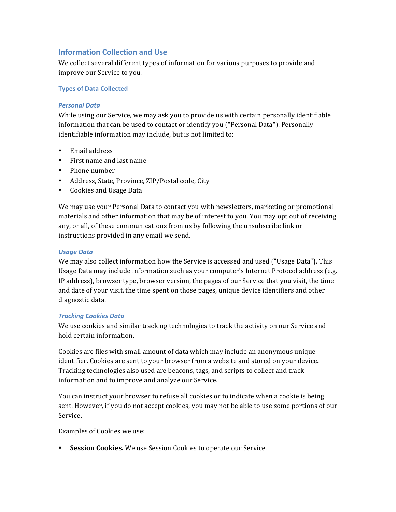## **Information Collection and Use**

We collect several different types of information for various purposes to provide and improve our Service to you.

### **Types of Data Collected**

#### *Personal Data*

While using our Service, we may ask you to provide us with certain personally identifiable information that can be used to contact or identify you ("Personal Data"). Personally identifiable information may include, but is not limited to:

- Email address
- First name and last name
- Phone number
- Address, State, Province, ZIP/Postal code, City
- Cookies and Usage Data

We may use your Personal Data to contact you with newsletters, marketing or promotional materials and other information that may be of interest to you. You may opt out of receiving any, or all, of these communications from us by following the unsubscribe link or instructions provided in any email we send.

#### *Usage Data*

We may also collect information how the Service is accessed and used ("Usage Data"). This Usage Data may include information such as your computer's Internet Protocol address (e.g. IP address), browser type, browser version, the pages of our Service that you visit, the time and date of your visit, the time spent on those pages, unique device identifiers and other diagnostic data.

#### *Tracking Cookies Data*

We use cookies and similar tracking technologies to track the activity on our Service and hold certain information.

Cookies are files with small amount of data which may include an anonymous unique identifier. Cookies are sent to your browser from a website and stored on your device. Tracking technologies also used are beacons, tags, and scripts to collect and track information and to improve and analyze our Service.

You can instruct your browser to refuse all cookies or to indicate when a cookie is being sent. However, if you do not accept cookies, you may not be able to use some portions of our Service.

Examples of Cookies we use:

• Session Cookies. We use Session Cookies to operate our Service.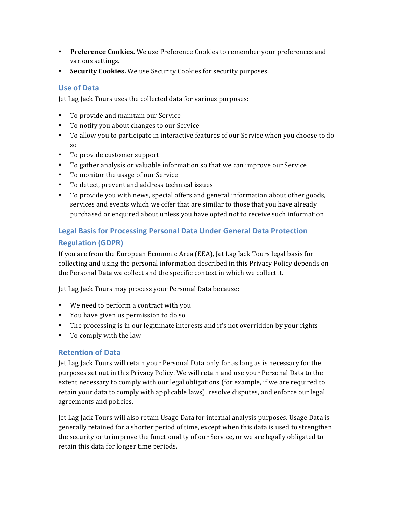- **Preference Cookies.** We use Preference Cookies to remember your preferences and various settings.
- Security Cookies. We use Security Cookies for security purposes.

## **Use of Data**

Jet Lag Jack Tours uses the collected data for various purposes:

- To provide and maintain our Service
- To notify you about changes to our Service
- To allow you to participate in interactive features of our Service when you choose to do so
- To provide customer support
- To gather analysis or valuable information so that we can improve our Service
- To monitor the usage of our Service
- To detect, prevent and address technical issues
- To provide you with news, special offers and general information about other goods, services and events which we offer that are similar to those that you have already purchased or enquired about unless you have opted not to receive such information

# **Legal Basis for Processing Personal Data Under General Data Protection Regulation (GDPR)**

If you are from the European Economic Area (EEA), Jet Lag Jack Tours legal basis for collecting and using the personal information described in this Privacy Policy depends on the Personal Data we collect and the specific context in which we collect it.

Jet Lag Jack Tours may process your Personal Data because:

- We need to perform a contract with you
- You have given us permission to do so
- The processing is in our legitimate interests and it's not overridden by your rights
- To comply with the law

## **Retention of Data**

Jet Lag Jack Tours will retain your Personal Data only for as long as is necessary for the purposes set out in this Privacy Policy. We will retain and use your Personal Data to the extent necessary to comply with our legal obligations (for example, if we are required to retain your data to comply with applicable laws), resolve disputes, and enforce our legal agreements and policies.

Jet Lag Jack Tours will also retain Usage Data for internal analysis purposes. Usage Data is generally retained for a shorter period of time, except when this data is used to strengthen the security or to improve the functionality of our Service, or we are legally obligated to retain this data for longer time periods.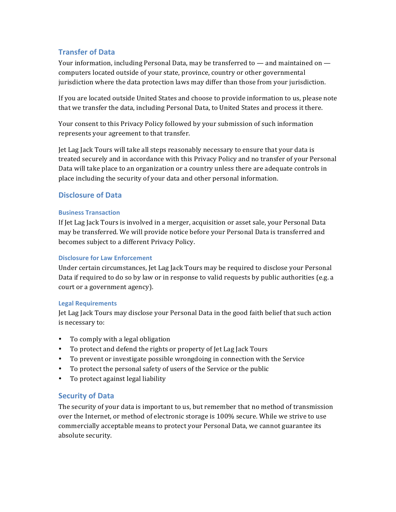## **Transfer of Data**

Your information, including Personal Data, may be transferred to  $-$  and maintained on  $$ computers located outside of your state, province, country or other governmental jurisdiction where the data protection laws may differ than those from your jurisdiction.

If you are located outside United States and choose to provide information to us, please note that we transfer the data, including Personal Data, to United States and process it there.

Your consent to this Privacy Policy followed by your submission of such information represents your agreement to that transfer.

Jet Lag Jack Tours will take all steps reasonably necessary to ensure that your data is treated securely and in accordance with this Privacy Policy and no transfer of your Personal Data will take place to an organization or a country unless there are adequate controls in place including the security of your data and other personal information.

### **Disclosure of Data**

### **Business Transaction**

If Jet Lag Jack Tours is involved in a merger, acquisition or asset sale, your Personal Data may be transferred. We will provide notice before your Personal Data is transferred and becomes subject to a different Privacy Policy.

### **Disclosure for Law Enforcement**

Under certain circumstances, Jet Lag Jack Tours may be required to disclose your Personal Data if required to do so by law or in response to valid requests by public authorities (e.g. a court or a government agency).

#### **Legal Requirements**

Jet Lag Jack Tours may disclose your Personal Data in the good faith belief that such action is necessary to:

- To comply with a legal obligation
- To protect and defend the rights or property of Jet Lag Jack Tours
- To prevent or investigate possible wrongdoing in connection with the Service
- To protect the personal safety of users of the Service or the public
- To protect against legal liability

### **Security of Data**

The security of your data is important to us, but remember that no method of transmission over the Internet, or method of electronic storage is 100% secure. While we strive to use commercially acceptable means to protect your Personal Data, we cannot guarantee its absolute security.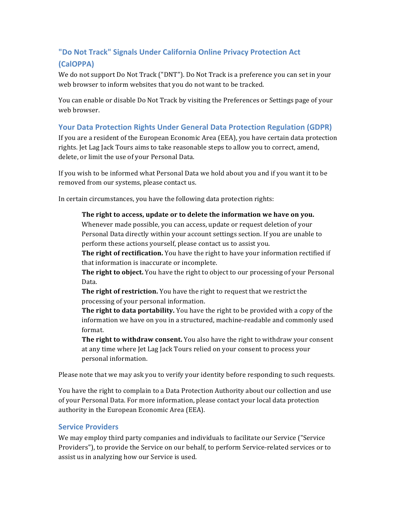# **"Do Not Track" Signals Under California Online Privacy Protection Act (CalOPPA)**

We do not support Do Not Track ("DNT"). Do Not Track is a preference you can set in your web browser to inform websites that you do not want to be tracked.

You can enable or disable Do Not Track by visiting the Preferences or Settings page of your web browser.

## **Your Data Protection Rights Under General Data Protection Regulation (GDPR)**

If you are a resident of the European Economic Area (EEA), you have certain data protection rights. Jet Lag Jack Tours aims to take reasonable steps to allow you to correct, amend, delete, or limit the use of your Personal Data.

If you wish to be informed what Personal Data we hold about you and if you want it to be removed from our systems, please contact us.

In certain circumstances, you have the following data protection rights:

### The right to access, update or to delete the information we have on you.

Whenever made possible, you can access, update or request deletion of your Personal Data directly within your account settings section. If you are unable to perform these actions yourself, please contact us to assist you.

**The right of rectification.** You have the right to have your information rectified if that information is inaccurate or incomplete.

**The right to object.** You have the right to object to our processing of your Personal Data.

**The right of restriction.** You have the right to request that we restrict the processing of your personal information.

**The right to data portability.** You have the right to be provided with a copy of the information we have on you in a structured, machine-readable and commonly used format.

**The right to withdraw consent.** You also have the right to withdraw your consent at any time where Jet Lag Jack Tours relied on your consent to process your personal information.

Please note that we may ask you to verify your identity before responding to such requests.

You have the right to complain to a Data Protection Authority about our collection and use of your Personal Data. For more information, please contact your local data protection authority in the European Economic Area (EEA).

## **Service Providers**

We may employ third party companies and individuals to facilitate our Service ("Service Providers"), to provide the Service on our behalf, to perform Service-related services or to assist us in analyzing how our Service is used.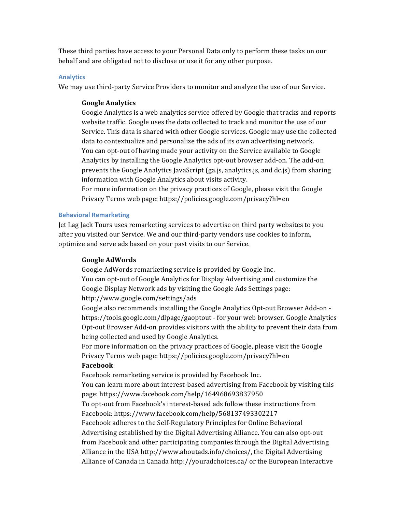These third parties have access to your Personal Data only to perform these tasks on our behalf and are obligated not to disclose or use it for any other purpose.

#### **Analytics**

We may use third-party Service Providers to monitor and analyze the use of our Service.

#### **Google Analytics**

Google Analytics is a web analytics service offered by Google that tracks and reports website traffic. Google uses the data collected to track and monitor the use of our Service. This data is shared with other Google services. Google may use the collected data to contextualize and personalize the ads of its own advertising network. You can opt-out of having made your activity on the Service available to Google Analytics by installing the Google Analytics opt-out browser add-on. The add-on prevents the Google Analytics JavaScript (ga.js, analytics.js, and dc.js) from sharing information with Google Analytics about visits activity.

For more information on the privacy practices of Google, please visit the Google Privacy Terms web page: https://policies.google.com/privacy?hl=en

#### **Behavioral Remarketing**

Jet Lag Jack Tours uses remarketing services to advertise on third party websites to you after you visited our Service. We and our third-party vendors use cookies to inform, optimize and serve ads based on your past visits to our Service.

#### **Google AdWords**

Google AdWords remarketing service is provided by Google Inc. You can opt-out of Google Analytics for Display Advertising and customize the Google Display Network ads by visiting the Google Ads Settings page: http://www.google.com/settings/ads

Google also recommends installing the Google Analytics Opt-out Browser Add-on https://tools.google.com/dlpage/gaoptout - for your web browser. Google Analytics Opt-out Browser Add-on provides visitors with the ability to prevent their data from being collected and used by Google Analytics.

For more information on the privacy practices of Google, please visit the Google Privacy Terms web page: https://policies.google.com/privacy?hl=en

### **Facebook**

Facebook remarketing service is provided by Facebook Inc.

You can learn more about interest-based advertising from Facebook by visiting this page: https://www.facebook.com/help/164968693837950

To opt-out from Facebook's interest-based ads follow these instructions from Facebook: https://www.facebook.com/help/568137493302217

Facebook adheres to the Self-Regulatory Principles for Online Behavioral Advertising established by the Digital Advertising Alliance. You can also opt-out from Facebook and other participating companies through the Digital Advertising Alliance in the USA http://www.aboutads.info/choices/, the Digital Advertising Alliance of Canada in Canada http://youradchoices.ca/ or the European Interactive